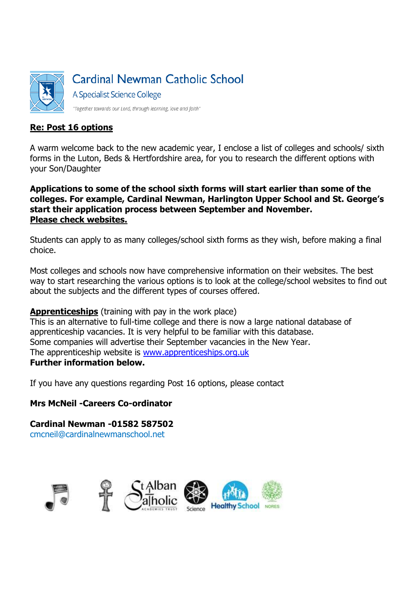

#### **Re: Post 16 options**

A warm welcome back to the new academic year, I enclose a list of colleges and schools/ sixth forms in the Luton, Beds & Hertfordshire area, for you to research the different options with your Son/Daughter

**Applications to some of the school sixth forms will start earlier than some of the colleges. For example, Cardinal Newman, Harlington Upper School and St. George's start their application process between September and November. Please check websites.**

Students can apply to as many colleges/school sixth forms as they wish, before making a final choice.

Most colleges and schools now have comprehensive information on their websites. The best way to start researching the various options is to look at the college/school websites to find out about the subjects and the different types of courses offered.

**Apprenticeships** (training with pay in the work place)

This is an alternative to full-time college and there is now a large national database of apprenticeship vacancies. It is very helpful to be familiar with this database. Some companies will advertise their September vacancies in the New Year. The apprenticeship website is [www.apprenticeships.org.uk](http://www.apprenticeships.org.uk/) **Further information below.**

If you have any questions regarding Post 16 options, please contact

#### **Mrs McNeil -Careers Co-ordinator**

**Cardinal Newman -01582 587502** cmcneil@cardinalnewmanschool.net

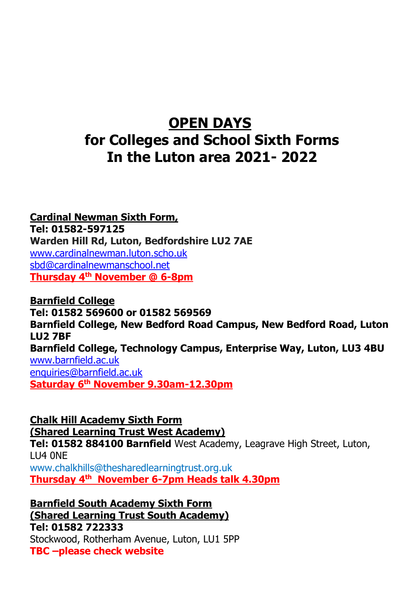# **OPEN DAYS for Colleges and School Sixth Forms In the Luton area 2021- 2022**

**Cardinal Newman Sixth Form, Tel: 01582-597125 Warden Hill Rd, Luton, Bedfordshire LU2 7AE** [www.cardinalnewman.luton.scho.uk](http://www.cardinalnewman.luton.scho.uk/) [sbd@cardinalnewmanschool.net](mailto:sbd@cardinalnewmanschool.net) **Thursday 4th November @ 6-8pm**

**Barnfield College Tel: 01582 569600 or 01582 569569 Barnfield College, New Bedford Road Campus, New Bedford Road, Luton LU2 7BF Barnfield College, Technology Campus, Enterprise Way, Luton, LU3 4BU** [www.barnfield.ac.uk](http://www.barnfield.ac.uk/) [enquiries@barnfield.ac.uk](mailto:enquiries@barnfield.ac.uk) **Saturday 6th November 9.30am-12.30pm** 

**Chalk Hill Academy Sixth Form (Shared Learning Trust West Academy)**

**Tel: 01582 884100 Barnfield** West Academy, Leagrave High Street, Luton, LU4 0NE

www.chalkhills@thesharedlearningtrust.org.uk **Thursday 4 th November 6-7pm Heads talk 4.30pm** 

**Barnfield South Academy Sixth Form (Shared Learning Trust South Academy) Tel: 01582 722333** Stockwood, Rotherham Avenue, Luton, LU1 5PP **TBC –please check website**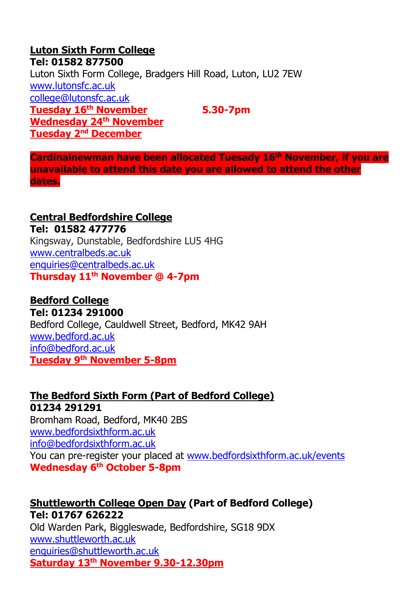# **Luton Sixth Form College Tel: 01582 877500** Luton Sixth Form College, Bradgers Hill Road, Luton, LU2 7EW [www.lutonsfc.ac.uk](http://www.lutonsfc.ac.uk/) [college@lutonsfc.ac.uk](mailto:college@lutonsfc.ac.uk) **Tuesday 16th November 5.30-7pm Wednesday 24th November Tuesday 2nd December**

**Cardinalnewman have been allocated Tuesady 16th November, if you are unavailable to attend this date you are allowed to attend the other dates.**

# **Central Bedfordshire College**

**Tel: 01582 477776** Kingsway, Dunstable, Bedfordshire LU5 4HG [www.centralbeds.ac.uk](http://www.centralbeds.ac.uk/) [enquiries@centralbeds.ac.uk](mailto:enquiries@centralbeds.ac.uk) **Thursday 11th November @ 4-7pm** 

## **Bedford College**

**Tel: 01234 291000** Bedford College, Cauldwell Street, Bedford, MK42 9AH [www.bedford.ac.uk](http://www.bedford.ac.uk/) [info@bedford.ac.uk](mailto:info@bedford.ac.uk) **Tuesday 9th November 5-8pm** 

# **The Bedford Sixth Form (Part of Bedford College) 01234 291291** Bromham Road, Bedford, MK40 2BS [www.bedfordsixthform.ac.uk](http://www.bedfordsixthform.ac.uk/) [info@bedfordsixthform.ac.uk](mailto:info@bedfordsixthform.ac.uk) You can pre-register your placed at [www.bedfordsixthform.ac.uk/events](http://www.bedfordsixthform.ac.uk/events) **Wednesday 6th October 5-8pm**

# **[Shuttleworth College Open Day](http://www.bedford.ac.uk/About/Events/2013/November/Shuttleworth-College-Open-Day.aspx) (Part of Bedford College) Tel: 01767 626222** Old Warden Park, Biggleswade, Bedfordshire, SG18 9DX

[www.shuttleworth.ac.uk](http://www.shuttleworth.ac.uk/) [enquiries@shuttleworth.ac.uk](mailto:enquiries@shuttleworth.ac.uk) **Saturday 13th November 9.30-12.30pm**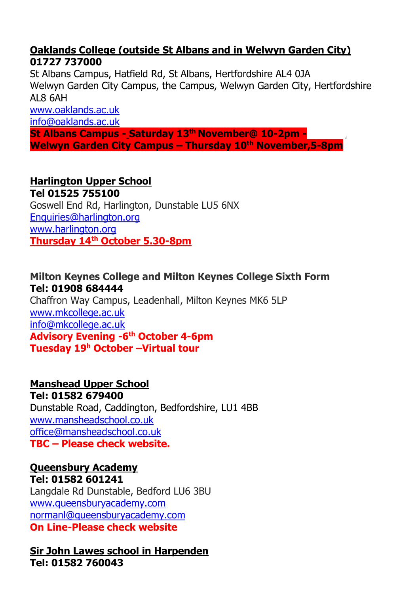# **Oaklands College (outside St Albans and in Welwyn Garden City) 01727 737000**

St Albans Campus, Hatfield Rd, St Albans, Hertfordshire AL4 0JA Welwyn Garden City Campus, the Campus, Welwyn Garden City, Hertfordshire AL8 6AH

[www.oaklands.ac.uk](http://www.oaklands.ac.uk/)

[info@oaklands.ac.uk](mailto:info@oaklands.ac.uk)

**St Albans Campus - Saturday 13th November@ 10-2pm - , Welwyn Garden City Campus – Thursday 10th November,5-8pm** 

# **Harlington Upper School Tel 01525 755100**

Goswell End Rd, Harlington, Dunstable LU5 6NX [Enquiries@harlington.org](mailto:Enquiries@harlington.org) [www.harlington.org](http://www.harlington.org/) **Thursday 14th October 5.30-8pm** 

# **Milton Keynes College and Milton Keynes College Sixth Form Tel: 01908 684444**

Chaffron Way Campus, Leadenhall, Milton Keynes MK6 5LP [www.mkcollege.ac.uk](http://www.mkcollege.ac.uk/) [info@mkcollege.ac.uk](mailto:info@mkcollege.ac.uk) **Advisory Evening -6 th October 4-6pm Tuesday 19<sup>h</sup> October –Virtual tour** 

# **Manshead Upper School**

**Tel: 01582 679400** Dunstable Road, Caddington, Bedfordshire, LU1 4BB [www.mansheadschool.co.uk](http://www.mansheadschool.co.uk/) [office@mansheadschool.co.uk](mailto:office@mansheadschool.co.uk) **TBC – Please check website.**

#### **Queensbury Academy Tel: 01582 601241**

Langdale Rd Dunstable, Bedford LU6 3BU [www.queensburyacademy.com](http://www.queensburyacademy.com/) [normanl@queensburyacademy.com](mailto:normanl@queensburyacademy.com) **On Line-Please check website**

**Sir John Lawes school in Harpenden Tel: 01582 760043**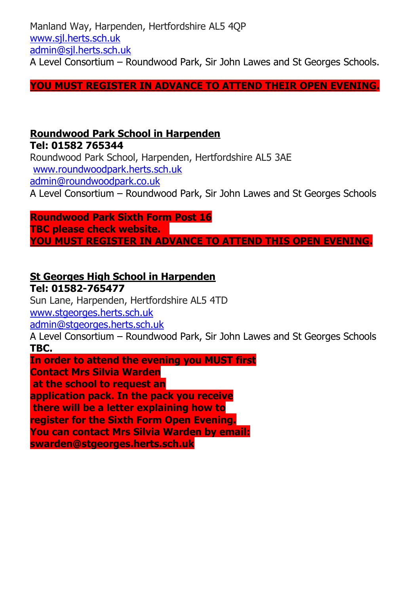Manland Way, Harpenden, Hertfordshire AL5 4QP [www.sjl.herts.sch.uk](http://www.sjl.herts.sch.uk/) [admin@sjl.herts.sch.uk](mailto:admin@sjl.herts.sch.uk) A Level Consortium – Roundwood Park, Sir John Lawes and St Georges Schools.

## **YOU MUST REGISTER IN ADVANCE TO ATTEND THEIR OPEN EVENING.**

# **Roundwood Park School in Harpenden**

**Tel: 01582 765344** Roundwood Park School, Harpenden, Hertfordshire AL5 3AE [www.roundwoodpark.herts.sch.uk](http://www.roundwoodpark.herts.sch.uk/) [admin@roundwoodpark.co.uk](mailto:admin@roundwoodpark.co.uk) A Level Consortium – Roundwood Park, Sir John Lawes and St Georges Schools

**Roundwood Park Sixth Form Post 16** 

**TBC please check website. YOU MUST REGISTER IN ADVANCE TO ATTEND THIS OPEN EVENING.**

## **St Georges High School in Harpenden**

**Tel: 01582-765477** Sun Lane, Harpenden, Hertfordshire AL5 4TD [www.stgeorges.herts.sch.uk](http://www.stgeorges.herts.sch.uk/) [admin@stgeorges.herts.sch.uk](mailto:admin@stgeorges.herts.sch.uk) A Level Consortium – Roundwood Park, Sir John Lawes and St Georges Schools **TBC. In order to attend the evening you MUST first** 

**Contact Mrs Silvia Warden**

**at the school to request an** 

**application pack. In the pack you receive**

**there will be a letter explaining how to** 

**register for the Sixth Form Open Evening.**

**You can contact Mrs Silvia Warden by email:** 

**swarden@stgeorges.herts.sch.uk**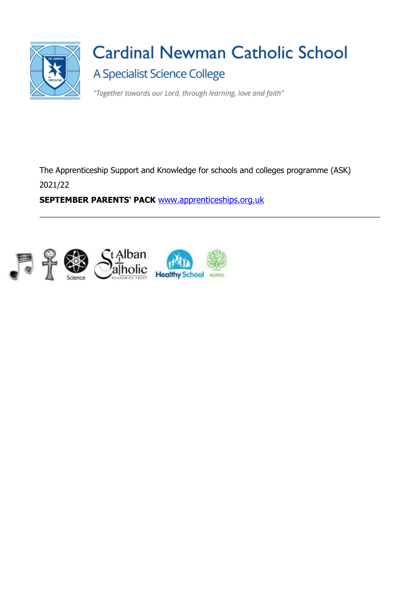

# **Cardinal Newman Catholic School** A Specialist Science College

"Together towards our Lord, through learning, love and faith"

The Apprenticeship Support and Knowledge for schools and colleges programme (ASK) 2021/22

**SEPTEMBER PARENTS' PACK** [www.apprenticeships.org.uk](http://www.apprenticeships.org.uk/)